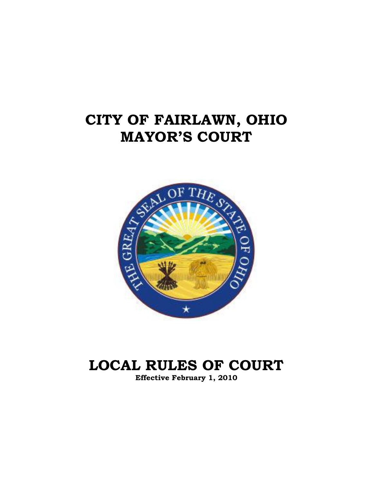# **CITY OF FAIRLAWN, OHIO MAYOR'S COURT**



# **LOCAL RULES OF COURT**

**Effective February 1, 2010**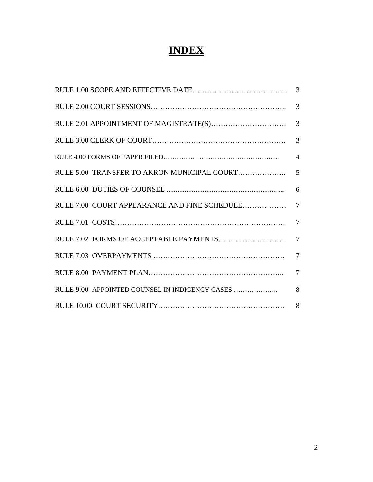## **INDEX**

|                                              | 3              |
|----------------------------------------------|----------------|
|                                              | 3              |
|                                              | 3              |
|                                              | 3              |
|                                              | $\overline{4}$ |
|                                              | $\overline{5}$ |
|                                              | 6              |
| RULE 7.00 COURT APPEARANCE AND FINE SCHEDULE | $\overline{7}$ |
|                                              | $\overline{7}$ |
|                                              | $\overline{7}$ |
|                                              | $\overline{7}$ |
|                                              | $\overline{7}$ |
|                                              | 8              |
|                                              | 8              |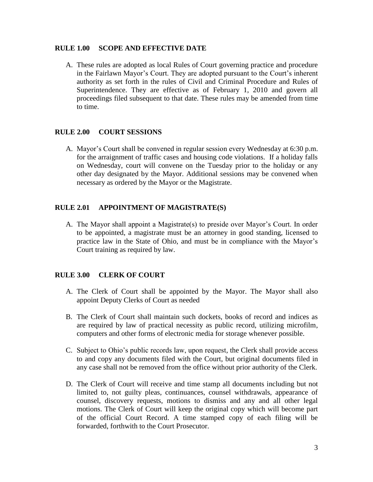#### **RULE 1.00 SCOPE AND EFFECTIVE DATE**

A. These rules are adopted as local Rules of Court governing practice and procedure in the Fairlawn Mayor's Court. They are adopted pursuant to the Court's inherent authority as set forth in the rules of Civil and Criminal Procedure and Rules of Superintendence. They are effective as of February 1, 2010 and govern all proceedings filed subsequent to that date. These rules may be amended from time to time.

### **RULE 2.00 COURT SESSIONS**

A. Mayor's Court shall be convened in regular session every Wednesday at 6:30 p.m. for the arraignment of traffic cases and housing code violations. If a holiday falls on Wednesday, court will convene on the Tuesday prior to the holiday or any other day designated by the Mayor. Additional sessions may be convened when necessary as ordered by the Mayor or the Magistrate.

### **RULE 2.01 APPOINTMENT OF MAGISTRATE(S)**

A. The Mayor shall appoint a Magistrate(s) to preside over Mayor's Court. In order to be appointed, a magistrate must be an attorney in good standing, licensed to practice law in the State of Ohio, and must be in compliance with the Mayor's Court training as required by law.

### **RULE 3.00 CLERK OF COURT**

- A. The Clerk of Court shall be appointed by the Mayor. The Mayor shall also appoint Deputy Clerks of Court as needed
- B. The Clerk of Court shall maintain such dockets, books of record and indices as are required by law of practical necessity as public record, utilizing microfilm, computers and other forms of electronic media for storage whenever possible.
- C. Subject to Ohio's public records law, upon request, the Clerk shall provide access to and copy any documents filed with the Court, but original documents filed in any case shall not be removed from the office without prior authority of the Clerk.
- D. The Clerk of Court will receive and time stamp all documents including but not limited to, not guilty pleas, continuances, counsel withdrawals, appearance of counsel, discovery requests, motions to dismiss and any and all other legal motions. The Clerk of Court will keep the original copy which will become part of the official Court Record. A time stamped copy of each filing will be forwarded, forthwith to the Court Prosecutor.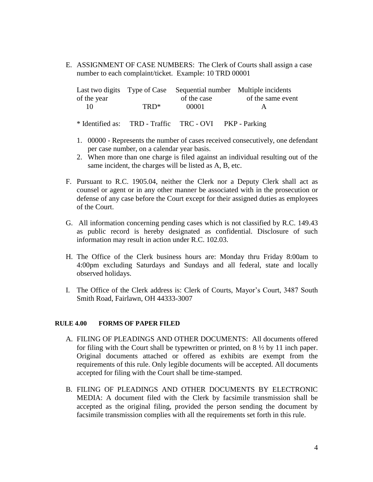E. ASSIGNMENT OF CASE NUMBERS: The Clerk of Courts shall assign a case number to each complaint/ticket. Example: 10 TRD 00001

|             |      | Last two digits Type of Case Sequential number Multiple incidents |                   |
|-------------|------|-------------------------------------------------------------------|-------------------|
| of the year |      | of the case                                                       | of the same event |
|             | TRD* | 00001                                                             | А                 |
|             |      |                                                                   |                   |

- \* Identified as: TRD Traffic TRC OVI PKP Parking
- 1. 00000 Represents the number of cases received consecutively, one defendant per case number, on a calendar year basis.
- 2. When more than one charge is filed against an individual resulting out of the same incident, the charges will be listed as A, B, etc.
- F. Pursuant to R.C. 1905.04, neither the Clerk nor a Deputy Clerk shall act as counsel or agent or in any other manner be associated with in the prosecution or defense of any case before the Court except for their assigned duties as employees of the Court.
- G. All information concerning pending cases which is not classified by R.C. 149.43 as public record is hereby designated as confidential. Disclosure of such information may result in action under R.C. 102.03.
- H. The Office of the Clerk business hours are: Monday thru Friday 8:00am to 4:00pm excluding Saturdays and Sundays and all federal, state and locally observed holidays.
- I. The Office of the Clerk address is: Clerk of Courts, Mayor's Court, 3487 South Smith Road, Fairlawn, OH 44333-3007

#### **RULE 4.00 FORMS OF PAPER FILED**

- A. FILING OF PLEADINGS AND OTHER DOCUMENTS: All documents offered for filing with the Court shall be typewritten or printed, on 8 ½ by 11 inch paper. Original documents attached or offered as exhibits are exempt from the requirements of this rule. Only legible documents will be accepted. All documents accepted for filing with the Court shall be time-stamped.
- B. FILING OF PLEADINGS AND OTHER DOCUMENTS BY ELECTRONIC MEDIA: A document filed with the Clerk by facsimile transmission shall be accepted as the original filing, provided the person sending the document by facsimile transmission complies with all the requirements set forth in this rule.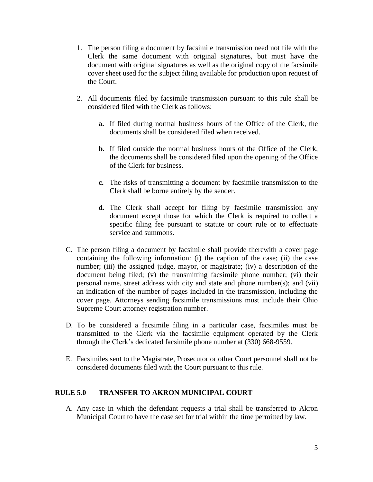- 1. The person filing a document by facsimile transmission need not file with the Clerk the same document with original signatures, but must have the document with original signatures as well as the original copy of the facsimile cover sheet used for the subject filing available for production upon request of the Court.
- 2. All documents filed by facsimile transmission pursuant to this rule shall be considered filed with the Clerk as follows:
	- **a.** If filed during normal business hours of the Office of the Clerk, the documents shall be considered filed when received.
	- **b.** If filed outside the normal business hours of the Office of the Clerk, the documents shall be considered filed upon the opening of the Office of the Clerk for business.
	- **c.** The risks of transmitting a document by facsimile transmission to the Clerk shall be borne entirely by the sender.
	- **d.** The Clerk shall accept for filing by facsimile transmission any document except those for which the Clerk is required to collect a specific filing fee pursuant to statute or court rule or to effectuate service and summons.
- C. The person filing a document by facsimile shall provide therewith a cover page containing the following information: (i) the caption of the case; (ii) the case number; (iii) the assigned judge, mayor, or magistrate; (iv) a description of the document being filed; (v) the transmitting facsimile phone number; (vi) their personal name, street address with city and state and phone number(s); and (vii) an indication of the number of pages included in the transmission, including the cover page. Attorneys sending facsimile transmissions must include their Ohio Supreme Court attorney registration number.
- D. To be considered a facsimile filing in a particular case, facsimiles must be transmitted to the Clerk via the facsimile equipment operated by the Clerk through the Clerk's dedicated facsimile phone number at (330) 668-9559.
- E. Facsimiles sent to the Magistrate, Prosecutor or other Court personnel shall not be considered documents filed with the Court pursuant to this rule.

### **RULE 5.0 TRANSFER TO AKRON MUNICIPAL COURT**

A. Any case in which the defendant requests a trial shall be transferred to Akron Municipal Court to have the case set for trial within the time permitted by law.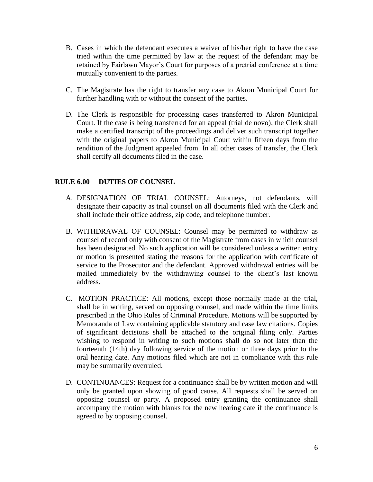- B. Cases in which the defendant executes a waiver of his/her right to have the case tried within the time permitted by law at the request of the defendant may be retained by Fairlawn Mayor's Court for purposes of a pretrial conference at a time mutually convenient to the parties.
- C. The Magistrate has the right to transfer any case to Akron Municipal Court for further handling with or without the consent of the parties.
- D. The Clerk is responsible for processing cases transferred to Akron Municipal Court. If the case is being transferred for an appeal (trial de novo), the Clerk shall make a certified transcript of the proceedings and deliver such transcript together with the original papers to Akron Municipal Court within fifteen days from the rendition of the Judgment appealed from. In all other cases of transfer, the Clerk shall certify all documents filed in the case.

### **RULE 6.00 DUTIES OF COUNSEL**

- A. DESIGNATION OF TRIAL COUNSEL: Attorneys, not defendants, will designate their capacity as trial counsel on all documents filed with the Clerk and shall include their office address, zip code, and telephone number.
- B. WITHDRAWAL OF COUNSEL: Counsel may be permitted to withdraw as counsel of record only with consent of the Magistrate from cases in which counsel has been designated. No such application will be considered unless a written entry or motion is presented stating the reasons for the application with certificate of service to the Prosecutor and the defendant. Approved withdrawal entries will be mailed immediately by the withdrawing counsel to the client's last known address.
- C. MOTION PRACTICE: All motions, except those normally made at the trial, shall be in writing, served on opposing counsel, and made within the time limits prescribed in the Ohio Rules of Criminal Procedure. Motions will be supported by Memoranda of Law containing applicable statutory and case law citations. Copies of significant decisions shall be attached to the original filing only. Parties wishing to respond in writing to such motions shall do so not later than the fourteenth (14th) day following service of the motion or three days prior to the oral hearing date. Any motions filed which are not in compliance with this rule may be summarily overruled.
- D. CONTINUANCES: Request for a continuance shall be by written motion and will only be granted upon showing of good cause. All requests shall be served on opposing counsel or party. A proposed entry granting the continuance shall accompany the motion with blanks for the new hearing date if the continuance is agreed to by opposing counsel.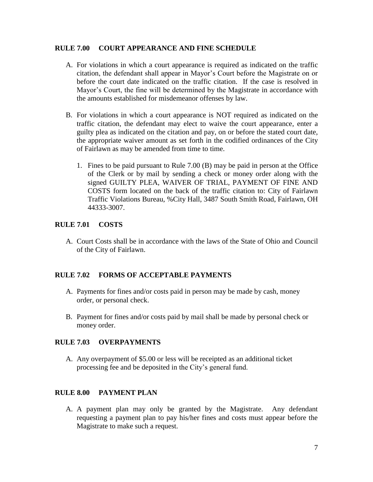#### **RULE 7.00 COURT APPEARANCE AND FINE SCHEDULE**

- A. For violations in which a court appearance is required as indicated on the traffic citation, the defendant shall appear in Mayor's Court before the Magistrate on or before the court date indicated on the traffic citation. If the case is resolved in Mayor's Court, the fine will be determined by the Magistrate in accordance with the amounts established for misdemeanor offenses by law.
- B. For violations in which a court appearance is NOT required as indicated on the traffic citation, the defendant may elect to waive the court appearance, enter a guilty plea as indicated on the citation and pay, on or before the stated court date, the appropriate waiver amount as set forth in the codified ordinances of the City of Fairlawn as may be amended from time to time.
	- 1. Fines to be paid pursuant to Rule 7.00 (B) may be paid in person at the Office of the Clerk or by mail by sending a check or money order along with the signed GUILTY PLEA, WAIVER OF TRIAL, PAYMENT OF FINE AND COSTS form located on the back of the traffic citation to: City of Fairlawn Traffic Violations Bureau, %City Hall, 3487 South Smith Road, Fairlawn, OH 44333-3007.

### **RULE 7.01 COSTS**

A. Court Costs shall be in accordance with the laws of the State of Ohio and Council of the City of Fairlawn.

### **RULE 7.02 FORMS OF ACCEPTABLE PAYMENTS**

- A. Payments for fines and/or costs paid in person may be made by cash, money order, or personal check.
- B. Payment for fines and/or costs paid by mail shall be made by personal check or money order.

### **RULE 7.03 OVERPAYMENTS**

A. Any overpayment of \$5.00 or less will be receipted as an additional ticket processing fee and be deposited in the City's general fund.

### **RULE 8.00 PAYMENT PLAN**

A. A payment plan may only be granted by the Magistrate. Any defendant requesting a payment plan to pay his/her fines and costs must appear before the Magistrate to make such a request.